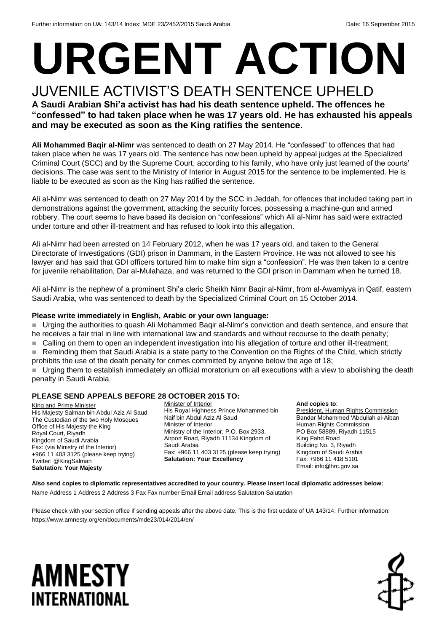# **URGENT ACTION**

JUVENILE ACTIVIST'S DEATH SENTENCE UPHELD **A Saudi Arabian Shi'a activist has had his death sentence upheld. The offences he "confessed" to had taken place when he was 17 years old. He has exhausted his appeals and may be executed as soon as the King ratifies the sentence.**

**Ali Mohammed Baqir al-Nimr** was sentenced to death on 27 May 2014. He "confessed" to offences that had taken place when he was 17 years old. The sentence has now been upheld by appeal judges at the Specialized Criminal Court (SCC) and by the Supreme Court, according to his family, who have only just learned of the courts' decisions. The case was sent to the Ministry of Interior in August 2015 for the sentence to be implemented. He is liable to be executed as soon as the King has ratified the sentence.

Ali al-Nimr was sentenced to death on 27 May 2014 by the SCC in Jeddah, for offences that included taking part in demonstrations against the government, attacking the security forces, possessing a machine-gun and armed robbery. The court seems to have based its decision on "confessions" which Ali al-Nimr has said were extracted under torture and other ill-treatment and has refused to look into this allegation.

Ali al-Nimr had been arrested on 14 February 2012, when he was 17 years old, and taken to the General Directorate of Investigations (GDI) prison in Dammam, in the Eastern Province. He was not allowed to see his lawyer and has said that GDI officers tortured him to make him sign a "confession". He was then taken to a centre for juvenile rehabilitation, Dar al-Mulahaza, and was returned to the GDI prison in Dammam when he turned 18.

Ali al-Nimr is the nephew of a prominent Shi'a cleric Sheikh Nimr Baqir al-Nimr, from al-Awamiyya in Qatif, eastern Saudi Arabia, who was sentenced to death by the Specialized Criminal Court on 15 October 2014.

#### **Please write immediately in English, Arabic or your own language:**

 Urging the authorities to quash Ali Mohammed Baqir al-Nimr's conviction and death sentence, and ensure that he receives a fair trial in line with international law and standards and without recourse to the death penalty;

■ Calling on them to open an independent investigation into his allegation of torture and other ill-treatment;

Reminding them that Saudi Arabia is a state party to the Convention on the Rights of the Child, which strictly prohibits the use of the death penalty for crimes committed by anyone below the age of 18;

 Urging them to establish immediately an official moratorium on all executions with a view to abolishing the death penalty in Saudi Arabia.

#### **PLEASE SEND APPEALS BEFORE 28 OCTOBER 2015 TO:**

King and Prime Minister His Majesty Salman bin Abdul Aziz Al Saud The Custodian of the two Holy Mosques Office of His Majesty the King Royal Court, Riyadh Kingdom of Saudi Arabia Fax: (via Ministry of the Interior) +966 11 403 3125 (please keep trying) Twitter: @KingSalman **Salutation: Your Majesty**

Minister of Interior His Royal Highness Prince Mohammed bin Naif bin Abdul Aziz Al Saud Minister of Interior Ministry of the Interior, P.O. Box 2933, Airport Road, Riyadh 11134 Kingdom of Saudi Arabia Fax: +966 11 403 3125 (please keep trying) **Salutation: Your Excellency**

#### **And copies to**:

President, Human Rights Commission Bandar Mohammed 'Abdullah al-Aiban Human Rights Commission PO Box 58889, Riyadh 11515 King Fahd Road Building No. 3, Riyadh Kingdom of Saudi Arabia Fax: +966 11 418 5101 Email: info@hrc.gov.sa

**Also send copies to diplomatic representatives accredited to your country. Please insert local diplomatic addresses below:** Name Address 1 Address 2 Address 3 Fax Fax number Email Email address Salutation Salutation

Please check with your section office if sending appeals after the above date. This is the first update of UA 143/14. Further information: https://www.amnesty.org/en/documents/mde23/014/2014/en/